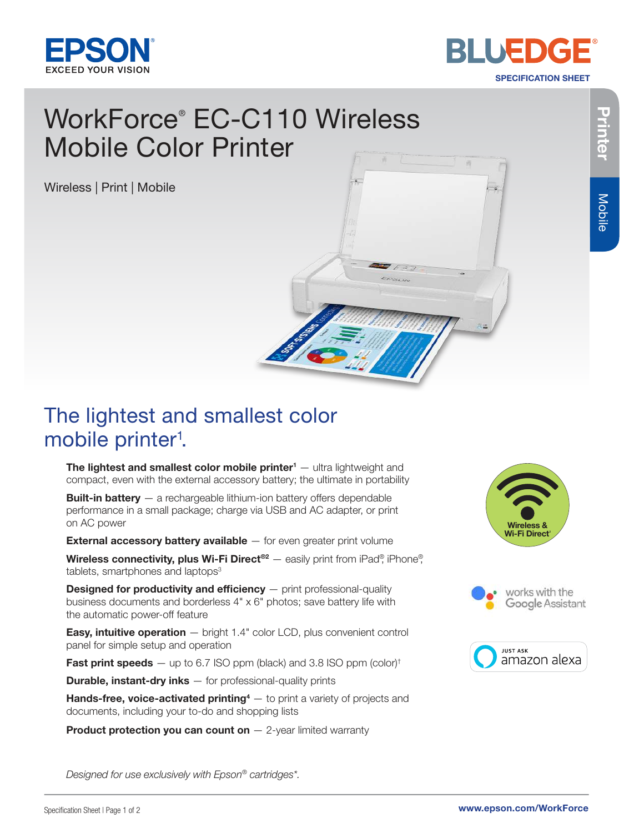



SPECIFICATION SHEET

# WorkForce ® EC-C110 Wireless

Wireless | Print | Mobile



## The lightest and smallest color mobile printer<sup>1</sup>.

The lightest and smallest color mobile printer<sup>1</sup> — ultra lightweight and compact, even with the external accessory battery; the ultimate in portability

**Built-in battery** - a rechargeable lithium-ion battery offers dependable performance in a small package; charge via USB and AC adapter, or print on AC power

**External accessory battery available** - for even greater print volume

Wireless connectivity, plus Wi-Fi Direct<sup>®2</sup> — easily print from iPad®, iPhone®, tablets, smartphones and laptops<sup>3</sup>

**Designed for productivity and efficiency**  $-$  print professional-quality business documents and borderless 4" x 6" photos; save battery life with the automatic power-off feature

**Easy, intuitive operation**  $-$  bright 1.4" color LCD, plus convenient control panel for simple setup and operation

**Fast print speeds**  $-$  up to 6.7 ISO ppm (black) and 3.8 ISO ppm (color)<sup>†</sup>

**Durable, instant-dry inks**  $-$  for professional-quality prints

Hands-free, voice-activated printing<sup>4</sup> – to print a variety of projects and documents, including your to-do and shopping lists

**Product protection you can count on**  $-$  2-year limited warranty